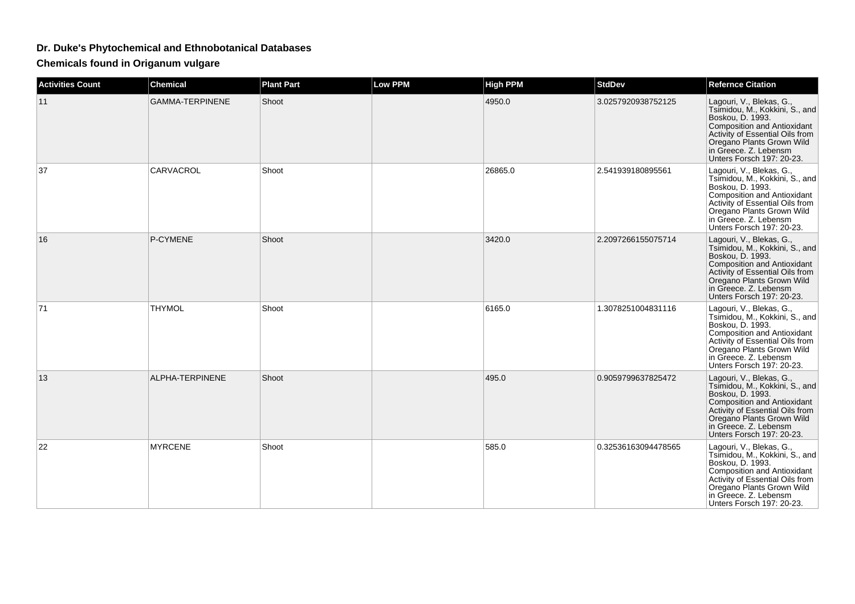## **Dr. Duke's Phytochemical and Ethnobotanical Databases**

**Chemicals found in Origanum vulgare**

| <b>Activities Count</b> | Chemical               | <b>Plant Part</b> | Low PPM | <b>High PPM</b> | <b>StdDev</b>       | <b>Refernce Citation</b>                                                                                                                                                                                                                   |
|-------------------------|------------------------|-------------------|---------|-----------------|---------------------|--------------------------------------------------------------------------------------------------------------------------------------------------------------------------------------------------------------------------------------------|
| 11                      | <b>GAMMA-TERPINENE</b> | Shoot             |         | 4950.0          | 3.0257920938752125  | Lagouri, V., Blekas, G.,<br>Tsimidou, M., Kokkini, S., and<br>Boskou, D. 1993.<br><b>Composition and Antioxidant</b><br>Activity of Essential Oils from<br>Oregano Plants Grown Wild<br>in Greece. Z. Lebensm<br>Unters Forsch 197: 20-23. |
| 37                      | CARVACROL              | Shoot             |         | 26865.0         | 2.541939180895561   | Lagouri, V., Blekas, G.,<br>Tsimidou, M., Kokkini, S., and<br>Boskou, D. 1993.<br><b>Composition and Antioxidant</b><br>Activity of Essential Oils from<br>Oregano Plants Grown Wild<br>in Greece. Z. Lebensm<br>Unters Forsch 197: 20-23. |
| 16                      | P-CYMENE               | Shoot             |         | 3420.0          | 2.2097266155075714  | Lagouri, V., Blekas, G.,<br>Tsimidou, M., Kokkini, S., and<br>Boskou, D. 1993.<br><b>Composition and Antioxidant</b><br>Activity of Essential Oils from<br>Oregano Plants Grown Wild<br>in Greece. Z. Lebensm<br>Unters Forsch 197: 20-23. |
| 71                      | <b>THYMOL</b>          | Shoot             |         | 6165.0          | 1.3078251004831116  | Lagouri, V., Blekas, G.,<br>Tsimidou, M., Kokkini, S., and<br>Boskou, D. 1993.<br><b>Composition and Antioxidant</b><br>Activity of Essential Oils from<br>Oregano Plants Grown Wild<br>in Greece. Z. Lebensm<br>Unters Forsch 197: 20-23. |
| 13                      | ALPHA-TERPINENE        | Shoot             |         | 495.0           | 0.9059799637825472  | Lagouri, V., Blekas, G.,<br>Tsimidou, M., Kokkini, S., and<br>Boskou, D. 1993.<br><b>Composition and Antioxidant</b><br>Activity of Essential Oils from<br>Oregano Plants Grown Wild<br>in Greece. Z. Lebensm<br>Unters Forsch 197: 20-23. |
| 22                      | <b>MYRCENE</b>         | Shoot             |         | 585.0           | 0.32536163094478565 | Lagouri, V., Blekas, G.,<br>Tsimidou, M., Kokkini, S., and<br>Boskou, D. 1993.<br><b>Composition and Antioxidant</b><br>Activity of Essential Oils from<br>Oregano Plants Grown Wild<br>in Greece. Z. Lebensm<br>Unters Forsch 197: 20-23. |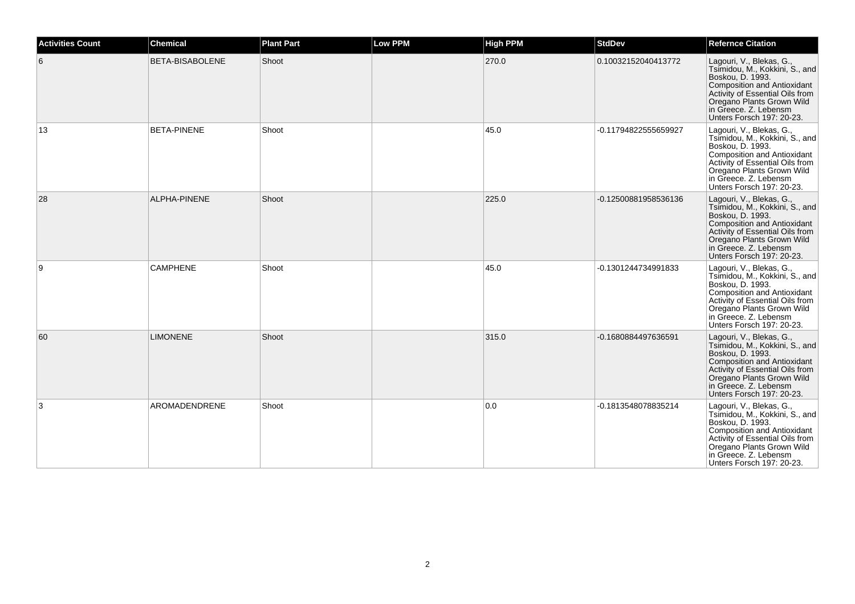| <b>Activities Count</b> | <b>Chemical</b>        | <b>Plant Part</b> | <b>Low PPM</b> | <b>High PPM</b> | <b>StdDev</b>        | <b>Refernce Citation</b>                                                                                                                                                                                                                   |
|-------------------------|------------------------|-------------------|----------------|-----------------|----------------------|--------------------------------------------------------------------------------------------------------------------------------------------------------------------------------------------------------------------------------------------|
| 6                       | <b>BETA-BISABOLENE</b> | Shoot             |                | 270.0           | 0.10032152040413772  | Lagouri, V., Blekas, G.,<br>Tsimidou, M., Kokkini, S., and<br>Boskou, D. 1993.<br>Composition and Antioxidant<br>Activity of Essential Oils from<br>Oregano Plants Grown Wild<br>in Greece. Z. Lebensm<br>Unters Forsch 197: 20-23.        |
| 13                      | <b>BETA-PINENE</b>     | Shoot             |                | 45.0            | -0.11794822555659927 | Lagouri, V., Blekas, G.,<br>Tsimidou, M., Kokkini, S., and<br>Boskou, D. 1993.<br><b>Composition and Antioxidant</b><br>Activity of Essential Oils from<br>Oregano Plants Grown Wild<br>in Greece. Z. Lebensm<br>Unters Forsch 197: 20-23. |
| 28                      | <b>ALPHA-PINENE</b>    | Shoot             |                | 225.0           | -0.12500881958536136 | Lagouri, V., Blekas, G.,<br>Tsimidou, M., Kokkini, S., and<br>Boskou, D. 1993.<br>Composition and Antioxidant<br>Activity of Essential Oils from<br>Oregano Plants Grown Wild<br>in Greece. Z. Lebensm<br>Unters Forsch 197: 20-23.        |
| 9                       | <b>CAMPHENE</b>        | Shoot             |                | 45.0            | -0.1301244734991833  | Lagouri, V., Blekas, G.,<br>Tsimidou, M., Kokkini, S., and<br>Boskou, D. 1993.<br><b>Composition and Antioxidant</b><br>Activity of Essential Oils from<br>Oregano Plants Grown Wild<br>in Greece. Z. Lebensm<br>Unters Forsch 197: 20-23. |
| 60                      | <b>LIMONENE</b>        | Shoot             |                | 315.0           | -0.1680884497636591  | Lagouri, V., Blekas, G.,<br>Tsimidou, M., Kokkini, S., and<br>Boskou, D. 1993.<br>Composition and Antioxidant<br>Activity of Essential Oils from<br>Oregano Plants Grown Wild<br>in Greece. Z. Lebensm<br>Unters Forsch 197: 20-23.        |
| 3                       | AROMADENDRENE          | Shoot             |                | 0.0             | -0.1813548078835214  | Lagouri, V., Blekas, G.,<br>Tsimidou, M., Kokkini, S., and<br>Boskou, D. 1993.<br>Composition and Antioxidant<br>Activity of Essential Oils from<br>Oregano Plants Grown Wild<br>in Greece. Z. Lebensm<br>Unters Forsch 197: 20-23.        |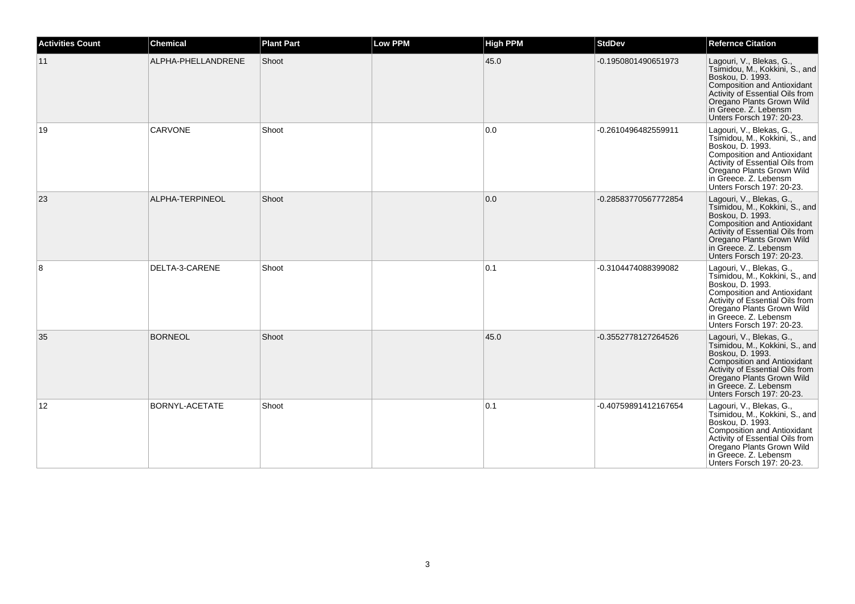| <b>Activities Count</b> | <b>Chemical</b>       | <b>Plant Part</b> | <b>Low PPM</b> | <b>High PPM</b> | <b>StdDev</b>        | <b>Refernce Citation</b>                                                                                                                                                                                                                   |
|-------------------------|-----------------------|-------------------|----------------|-----------------|----------------------|--------------------------------------------------------------------------------------------------------------------------------------------------------------------------------------------------------------------------------------------|
| 11                      | ALPHA-PHELLANDRENE    | Shoot             |                | 45.0            | -0.1950801490651973  | Lagouri, V., Blekas, G.,<br>Tsimidou, M., Kokkini, S., and<br>Boskou, D. 1993.<br>Composition and Antioxidant<br>Activity of Essential Oils from<br>Oregano Plants Grown Wild<br>in Greece. Z. Lebensm<br>Unters Forsch 197: 20-23.        |
| 19                      | <b>CARVONE</b>        | Shoot             |                | 0.0             | -0.2610496482559911  | Lagouri, V., Blekas, G.,<br>Tsimidou, M., Kokkini, S., and<br>Boskou, D. 1993.<br>Composition and Antioxidant<br>Activity of Essential Oils from<br>Oregano Plants Grown Wild<br>in Greece. Z. Lebensm<br>Unters Forsch 197: 20-23.        |
| 23                      | ALPHA-TERPINEOL       | Shoot             |                | 0.0             | -0.28583770567772854 | Lagouri, V., Blekas, G.,<br>Tsimidou, M., Kokkini, S., and<br>Boskou, D. 1993.<br>Composition and Antioxidant<br>Activity of Essential Oils from<br>Oregano Plants Grown Wild<br>in Greece. Z. Lebensm<br>Unters Forsch 197: 20-23.        |
| 8                       | DELTA-3-CARENE        | Shoot             |                | 0.1             | -0.3104474088399082  | Lagouri, V., Blekas, G.,<br>Tsimidou, M., Kokkini, S., and<br>Boskou, D. 1993.<br><b>Composition and Antioxidant</b><br>Activity of Essential Oils from<br>Oregano Plants Grown Wild<br>in Greece. Z. Lebensm<br>Unters Forsch 197: 20-23. |
| 35                      | <b>BORNEOL</b>        | Shoot             |                | 45.0            | -0.3552778127264526  | Lagouri, V., Blekas, G.,<br>Tsimidou, M., Kokkini, S., and<br>Boskou, D. 1993.<br>Composition and Antioxidant<br>Activity of Essential Oils from<br>Oregano Plants Grown Wild<br>in Greece. Z. Lebensm<br>Unters Forsch 197: 20-23.        |
| 12                      | <b>BORNYL-ACETATE</b> | Shoot             |                | 0.1             | -0.40759891412167654 | Lagouri, V., Blekas, G.,<br>Tsimidou, M., Kokkini, S., and<br>Boskou, D. 1993.<br>Composition and Antioxidant<br>Activity of Essential Oils from<br>Oregano Plants Grown Wild<br>in Greece. Z. Lebensm<br>Unters Forsch 197: 20-23.        |